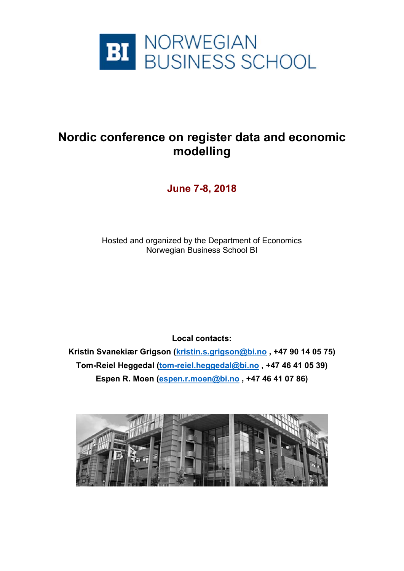

## **Nordic conference on register data and economic modelling**

**June 7-8, 2018** 

Hosted and organized by the Department of Economics Norwegian Business School BI

**Local contacts:** 

**Kristin Svanekiær Grigson (kristin.s.grigson@bi.no , +47 90 14 05 75) Tom-Reiel Heggedal (tom-reiel.heggedal@bi.no , +47 46 41 05 39) Espen R. Moen (espen.r.moen@bi.no , +47 46 41 07 86)** 

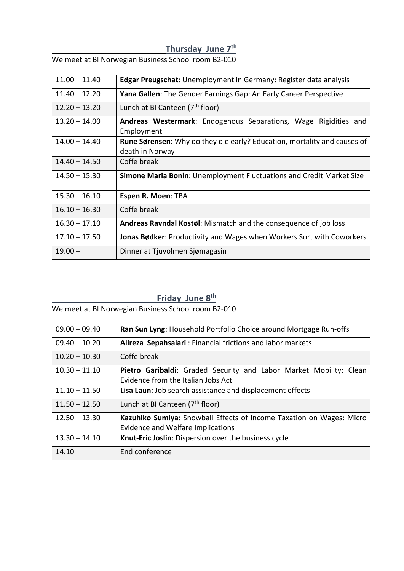## **Thursday June 7th**

We meet at BI Norwegian Business School room B2‐010

| $11.00 - 11.40$ | <b>Edgar Preugschat:</b> Unemployment in Germany: Register data analysis                           |
|-----------------|----------------------------------------------------------------------------------------------------|
| $11.40 - 12.20$ | Yana Gallen: The Gender Earnings Gap: An Early Career Perspective                                  |
| $12.20 - 13.20$ | Lunch at BI Canteen (7 <sup>th</sup> floor)                                                        |
| $13.20 - 14.00$ | Andreas Westermark: Endogenous Separations, Wage Rigidities and<br>Employment                      |
| $14.00 - 14.40$ | <b>Rune Sørensen:</b> Why do they die early? Education, mortality and causes of<br>death in Norway |
| $14.40 - 14.50$ | Coffe break                                                                                        |
| $14.50 - 15.30$ | Simone Maria Bonin: Unemployment Fluctuations and Credit Market Size                               |
| $15.30 - 16.10$ | Espen R. Moen: TBA                                                                                 |
| $16.10 - 16.30$ | Coffe break                                                                                        |
| $16.30 - 17.10$ | Andreas Ravndal Kostøl: Mismatch and the consequence of job loss                                   |
| $17.10 - 17.50$ | Jonas Bødker: Productivity and Wages when Workers Sort with Coworkers                              |
| $19.00 -$       | Dinner at Tjuvolmen Sjømagasin                                                                     |

## **Friday June 8th**

We meet at BI Norwegian Business School room B2‐010

| $09.00 - 09.40$ | Ran Sun Lyng: Household Portfolio Choice around Mortgage Run-offs                                                |
|-----------------|------------------------------------------------------------------------------------------------------------------|
| $09.40 - 10.20$ | Alireza Sepahsalari: Financial frictions and labor markets                                                       |
| $10.20 - 10.30$ | Coffe break                                                                                                      |
| $10.30 - 11.10$ | Pietro Garibaldi: Graded Security and Labor Market Mobility: Clean<br>Evidence from the Italian Jobs Act         |
| $11.10 - 11.50$ | Lisa Laun: Job search assistance and displacement effects                                                        |
| $11.50 - 12.50$ | Lunch at BI Canteen (7 <sup>th</sup> floor)                                                                      |
| $12.50 - 13.30$ | Kazuhiko Sumiya: Snowball Effects of Income Taxation on Wages: Micro<br><b>Evidence and Welfare Implications</b> |
| $13.30 - 14.10$ | Knut-Eric Joslin: Dispersion over the business cycle                                                             |
| 14.10           | End conference                                                                                                   |